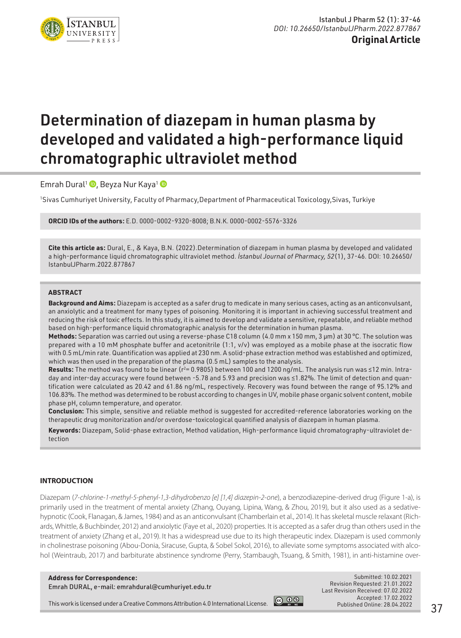

**Original Article**

# Determination of diazepam in human plasma by developed and validated a high-performance liquid chromatographic ultraviolet method

Emrah Dural<sup>1</sup> **D**, Beyza Nur Kaya<sup>1</sup> D

1 Sivas Cumhuriyet University, Faculty of Pharmacy,Department of Pharmaceutical Toxicology,Sivas, Turkiye

**ORCID IDs of the authors:** E.D. 0000-0002-9320-8008; B.N.K. 0000-0002-5576-3326

**Cite this article as:** Dural, E., & Kaya, B.N. (2022).Determination of diazepam in human plasma by developed and validated a high-performance liquid chromatographic ultraviolet method. *İstanbul Journal of Pharmacy, 52*(1), 37-46. DOI: 10.26650/ IstanbulJPharm.2022.877867

#### **ABSTRACT**

**Background and Aims:** Diazepam is accepted as a safer drug to medicate in many serious cases, acting as an anticonvulsant, an anxiolytic and a treatment for many types of poisoning. Monitoring it is important in achieving successful treatment and reducing the risk of toxic effects. In this study, it is aimed to develop and validate a sensitive, repeatable, and reliable method based on high-performance liquid chromatographic analysis for the determination in human plasma.

**Methods:** Separation was carried out using a reverse-phase C18 column (4.0 mm x 150 mm, 3 μm) at 30 °C. The solution was prepared with a 10 mM phosphate buffer and acetonitrile (1:1, v/v) was employed as a mobile phase at the isocratic flow with 0.5 mL/min rate. Quantification was applied at 230 nm. A solid-phase extraction method was established and optimized, which was then used in the preparation of the plasma (0.5 mL) samples to the analysis.

Results: The method was found to be linear (r<sup>2</sup>= 0.9805) between 100 and 1200 ng/mL. The analysis run was ≤12 min. Intraday and inter-day accuracy were found between -5.78 and 5.93 and precision was ≤1.82%. The limit of detection and quantification were calculated as 20.42 and 61.86 ng/mL, respectively. Recovery was found between the range of 95.12% and 106.83%. The method was determined to be robust according to changes in UV, mobile phase organic solvent content, mobile phase pH, column temperature, and operator.

**Conclusion:** This simple, sensitive and reliable method is suggested for accredited-reference laboratories working on the therapeutic drug monitorization and/or overdose-toxicological quantified analysis of diazepam in human plasma.

**Keywords:** Diazepam, Solid-phase extraction, Method validation, High-performance liquid chromatography-ultraviolet detection

## **INTRODUCTION**

Diazepam (*7-chlorine-1-methyl-5-phenyl-1,3-dihydrobenzo [e] [1,4] diazepin-2-one*), a benzodiazepine-derived drug (Figure 1-a), is primarily used in the treatment of mental anxiety (Zhang, Ouyang, Lipina, Wang, & Zhou, 2019), but it also used as a sedativehypnotic (Cook, Flanagan, & James, 1984) and as an anticonvulsant (Chamberlain et al., 2014). It has skeletal muscle relaxant (Richards, Whittle, & Buchbinder, 2012) and anxiolytic (Faye et al., 2020) properties. It is accepted as a safer drug than others used in the treatment of anxiety (Zhang et al., 2019). It has a widespread use due to its high therapeutic index. Diazepam is used commonly in cholinestrase poisoning (Abou-Donia, Siracuse, Gupta, & Sobel Sokol, 2016), to alleviate some symptoms associated with alcohol (Weintraub, 2017) and barbiturate abstinence syndrome (Perry, Stambaugh, Tsuang, & Smith, 1981), in anti-histamine over-

**Address for Correspondence:**  Emrah DURAL, e-mail: emrahdural@cumhuriyet.edu.tr



Submitted: 10.02.2021 Revision Requested: 21.01.2022 Last Revision Received: 07.02.2022 Accepted: 17.02.2022 Published Online: 28.04.2022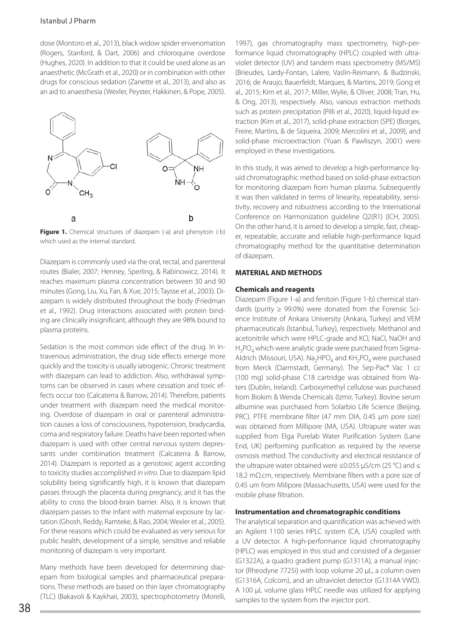dose (Montoro et al., 2013), black widow spider envenomation (Rogers, Stanford, & Dart, 2006) and chloroquine overdose (Hughes, 2020). In addition to that it could be used alone as an anaesthetic (McGrath et al., 2020) or in combination with other drugs for conscious sedation (Zanette et al., 2013), and also as an aid to anaesthesia (Wexler, Peyster, Hakkinen, & Pope, 2005).



**Figure 1.** Chemical structures of diazepam (-a) and phenytoin (-b) which used as the internal standard.

Diazepam is commonly used via the oral, rectal, and parenteral routes (Bialer, 2007; Henney, Sperling, & Rabinowicz, 2014). It reaches maximum plasma concentration between 30 and 90 minutes (Gong, Liu, Xu, Fan, & Xue, 2015; Taysse et al., 2003). Diazepam is widely distributed throughout the body (Friedman et al., 1992). Drug interactions associated with protein binding are clinically insignificant, although they are 98% bound to plasma proteins.

Sedation is the most common side effect of the drug. In intravenous administration, the drug side effects emerge more quickly and the toxicity is usually iatrogenic. Chronic treatment with diazepam can lead to addiction. Also, withdrawal symptoms can be observed in cases where cessation and toxic effects occur too (Calcaterra & Barrow, 2014). Therefore, patients under treatment with diazepam need the medical monitoring. Overdose of diazepam in oral or parenteral administration causes a loss of consciousness, hypotension, bradycardia, coma and respiratory failure. Deaths have been reported when diazepam is used with other central nervous system depressants under combination treatment (Calcaterra & Barrow, 2014). Diazepam is reported as a genotoxic agent according to toxicity studies accomplished *in vitro*. Due to diazepam lipid solubility being significantly high, it is known that diazepam passes through the placenta during pregnancy, and it has the ability to cross the blood-brain barrier. Also, it is known that diazepam passes to the infant with maternal exposure by lactation (Ghosh, Reddy, Ramteke, & Rao, 2004; Wexler et al., 2005). For these reasons which could be evaluated as very serious for public health, development of a simple, sensitive and reliable monitoring of diazepam is very important.

Many methods have been developed for determining diazepam from biological samples and pharmaceutical preparations. These methods are based on thin layer chromatography (TLC) (Bakavoli & Kaykhaii, 2003), spectrophotometry (Morelli,

1997), gas chromatography mass spectrometry, high-performance liquid chromatography (HPLC) coupled with ultraviolet detector (UV) and tandem mass spectrometry (MS/MS) (Brieudes, Lardy-Fontan, Lalere, Vaslin-Reimann, & Budzinski, 2016; de Araujo, Bauerfeldt, Marques, & Martins, 2019; Gong et al., 2015; Kim et al., 2017; Miller, Wylie, & Oliver, 2008; Tran, Hu, & Ong, 2013), respectively. Also, various extraction methods such as protein precipitation (Pilli et al., 2020), liquid-liquid extraction (Kim et al., 2017), solid-phase extraction (SPE) (Borges, Freire, Martins, & de Siqueira, 2009; Mercolini et al., 2009), and solid-phase microextraction (Yuan & Pawliszyn, 2001) were employed in these investigations.

In this study, it was aimed to develop a high-performance liquid chromatographic method based on solid-phase extraction for monitoring diazepam from human plasma. Subsequently it was then validated in terms of linearity, repeatability, sensitivity, recovery and robustness according to the International Conference on Harmonization guideline Q2(R1) (ICH, 2005). On the other hand, it is aimed to develop a simple, fast, cheaper, repeatable, accurate and reliable high-performance liquid chromatography method for the quantitative determination of diazepam.

## **MATERIAL AND METHODS**

#### **Chemicals and reagents**

Diazepam (Figure 1-a) and fenitoin (Figure 1-b) chemical standards (purity  $\geq$  99.0%) were donated from the Forensic Science Institute of Ankara University (Ankara, Turkey) and VEM pharmaceuticals (Istanbul, Turkey), respectively. Methanol and acetonitrile which were HPLC-grade and KCl, NaCl, NaOH and  $H_3PO_4$  which were analytic grade were purchased from Sigma-Aldrich (Missouri, USA). Na<sub>2</sub>HPO<sub>4</sub> and  $KH_2PO_4$  were purchased from Merck (Darmstadt, Germany). The Sep-Pac® Vac 1 cc (100 mg) solid-phase C18 cartridge was obtained from Waters (Dublin, Ireland). Carboxymethyl cellulose was purchased from Biokim & Wenda Chemicals (Izmir, Turkey). Bovine serum albumine was purchased from Solarbio Life Science (Beijing, PRC). PTFE membrane filter (47 mm DIA, 0.45 µm pore size) was obtained from Millipore (MA, USA). Ultrapure water was supplied from Elga Purelab Water Purification System (Lane End, UK) performing purification as required by the reverse osmosis method. The conductivity and electrical resistance of the ultrapure water obtained were ≤0.055 µS/cm (25 °C) and ≤ 18.2 mΩ.cm, respectively. Membrane filters with a pore size of 0.45 um from Milipore (Massachusetts, USA) were used for the mobile phase filtration.

#### **Instrumentation and chromatographic conditions**

The analytical separation and quantification was achieved with an Agilent 1100 series HPLC system (CA, USA) coupled with a UV detector. A high-performance liquid chromatography (HPLC) was employed in this stud and consisted of a degasser (G1322A), a quadro gradient pump (G1311A), a manual injector (Rheodyne 7725i) with loop volume 20 µL, a column oven (G1316A, Colcom), and an ultraviolet detector (G1314A VWD). A 100 µL volume glass HPLC needle was utilized for applying samples to the system from the injector port.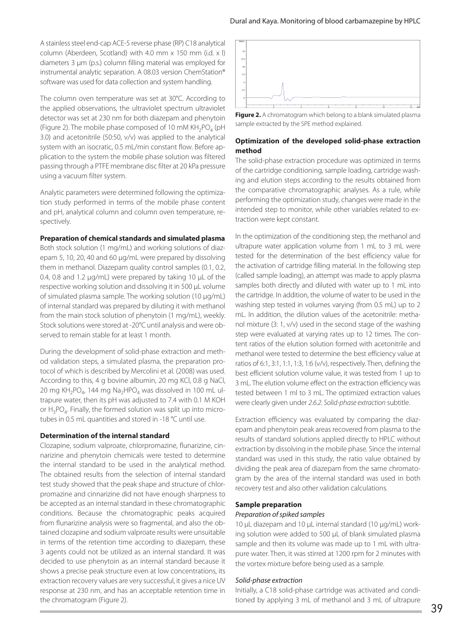A stainless steel end-cap ACE-5 reverse phase (RP) C18 analytical column (Aberdeen, Scotland) with 4.0 mm x 150 mm (i.d. x l) diameters 3 μm (p.s.) column filling material was employed for instrumental analytic separation. A 08.03 version ChemStation® software was used for data collection and system handling.

The column oven temperature was set at 30°C. According to the applied observations, the ultraviolet spectrum ultraviolet detector was set at 230 nm for both diazepam and phenytoin (Figure 2). The mobile phase composed of 10 mM  $KH_2PO_4$  (pH 3.0) and acetonitrile (50:50, v/v) was applied to the analytical system with an isocratic, 0.5 mL/min constant flow. Before application to the system the mobile phase solution was filtered passing through a PTFE membrane disc filter at 20 kPa pressure using a vacuum filter system.

Analytic parameters were determined following the optimization study performed in terms of the mobile phase content and pH, analytical column and column oven temperature, respectively.

#### **Preparation of chemical standards and simulated plasma**

Both stock solution (1 mg/mL) and working solutions of diazepam 5, 10, 20, 40 and 60 µg/mL were prepared by dissolving them in methanol. Diazepam quality control samples (0.1, 0.2, 0.4, 0.8 and 1.2 µg/mL) were prepared by taking 10 µL of the respective working solution and dissolving it in 500 µL volume of simulated plasma sample. The working solution (10 μg/mL) of internal standard was prepared by diluting it with methanol from the main stock solution of phenytoin (1 mg/mL), weekly. Stock solutions were stored at -20°C until analysis and were observed to remain stable for at least 1 month.

During the development of solid-phase extraction and method validation steps, a simulated plasma, the preparation protocol of which is described by Mercolini et al. (2008) was used. According to this, 4 g bovine albumin, 20 mg KCl, 0.8 g NaCl, 20 mg KH<sub>2</sub>PO<sub>4</sub>, 144 mg Na<sub>2</sub>HPO<sub>4</sub> was dissolved in 100 mL ultrapure water, then its pH was adjusted to 7.4 with 0.1 M KOH or  $H_3PO_4$ . Finally, the formed solution was split up into microtubes in 0.5 mL quantities and stored in -18 °C until use.

#### **Determination of the internal standard**

Clozapine, sodium valproate, chlorpromazine, flunarizine, cinnarizine and phenytoin chemicals were tested to determine the internal standard to be used in the analytical method. The obtained results from the selection of internal standard test study showed that the peak shape and structure of chlorpromazine and cinnarizine did not have enough sharpness to be accepted as an internal standard in these chromatographic conditions. Because the chromatographic peaks acquired from flunarizine analysis were so fragmental, and also the obtained clozapine and sodium valproate results were unsuitable in terms of the retention time according to diazepam, these 3 agents could not be utilized as an internal standard. It was decided to use phenytoin as an internal standard because it shows a precise peak structure even at low concentrations, its extraction recovery values are very successful, it gives a nice UV response at 230 nm, and has an acceptable retention time in the chromatogram (Figure 2).



**Figure 2.** A chromatogram which belong to a blank simulated plasma sample extracted by the SPE method explained.

## **Optimization of the developed solid-phase extraction method**

The solid-phase extraction procedure was optimized in terms of the cartridge conditioning, sample loading, cartridge washing and elution steps according to the results obtained from the comparative chromatographic analyses. As a rule, while performing the optimization study, changes were made in the intended step to monitor, while other variables related to extraction were kept constant.

In the optimization of the conditioning step, the methanol and ultrapure water application volume from 1 mL to 3 mL were tested for the determination of the best efficiency value for the activation of cartridge filling material. In the following step (called sample loading), an attempt was made to apply plasma samples both directly and diluted with water up to 1 mL into the cartridge. In addition, the volume of water to be used in the washing step tested in volumes varying (from 0.5 mL) up to 2 mL. In addition, the dilution values of the acetonitrile: methanol mixture (3: 1, v/v) used in the second stage of the washing step were evaluated at varying rates up to 12 times. The content ratios of the elution solution formed with acetonitrile and methanol were tested to determine the best efficiency value at ratios of 6:1, 3:1, 1:1, 1:3, 1:6 (v/v), respectively. Then, defining the best efficient solution volume value, it was tested from 1 up to 3 mL. The elution volume effect on the extraction efficiency was tested between 1 ml to 3 mL. The optimized extraction values were clearly given under *2.6.2. Solid-phase extraction* subtitle.

Extraction efficiency was evaluated by comparing the diazepam and phenytoin peak areas recovered from plasma to the results of standard solutions applied directly to HPLC without extraction by dissolving in the mobile phase. Since the internal standard was used in this study, the ratio value obtained by dividing the peak area of diazepam from the same chromatogram by the area of the internal standard was used in both recovery test and also other validation calculations.

#### **Sample preparation**

#### *Preparation of spiked samples*

10 µL diazepam and 10 µL internal standard (10 μg/mL) working solution were added to 500 µL of blank simulated plasma sample and then its volume was made up to 1 mL with ultrapure water. Then, it was stirred at 1200 rpm for 2 minutes with the vortex mixture before being used as a sample.

#### *Solid-phase extraction*

Initially, a C18 solid-phase cartridge was activated and conditioned by applying 3 mL of methanol and 3 mL of ultrapure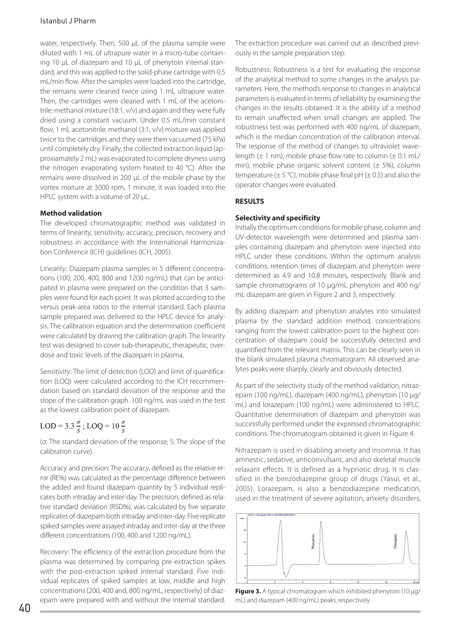## Istanbul J Pharm

water, respectively. Then, 500 uL of the plasma sample were diluted with 1 mL of ultrapure water in a micro-tube containing 10 µL of diazepam and 10 µL of phenytoin internal standard, and this was applied to the solid-phase cartridge with 0.5 mL/min flow. After the samples were loaded into the cartridge, the remains were cleaned twice using 1 mL ultrapure water. Then, the cartridges were cleaned with 1 mL of the acetonitrile: methanol mixture (18:1, v/v) and again and they were fully dried using a constant vacuum. Under 0.5 mL/min constant flow, 1 mL acetonitrile: methanol (3:1, v/v) mixture was applied twice to the cartridges and they were then vacuumed (75 kPa) until completely dry. Finally, the collected extraction liquid (approxiamately 2 mL) was evaporated to complete dryness using the nitrogen evaporating system heated to 40 °C). After the remains were dissolved in 200 μL of the mobile phase by the vortex mixture at 3000 rpm, 1 minute, it was loaded into the HPLC system with a volume of 20 µL.

## **Method validation**

The developed chromatographic method was validated in terms of linearity, sensitivity, accuracy, precision, recovery and robustness in accordance with the International Harmonization Conference (ICH) guidelines (ICH, 2005).

Linearity: Diazepam plasma samples in 5 different concentrations (100, 200, 400, 800 and 1200 ng/mL) that can be anticipated in plasma were prepared on the condition that 3 samples were found for each point. It was plotted according to the versus peak-area ratios to the internal standard. Each plasma sample prepared was delivered to the HPLC device for analysis. The calibration equation and the determination coefficient were calculated by drawing the calibration graph. The linearity test was designed to cover sub-therapeutic, therapeutic, overdose and toxic levels of the diazepam in plasma.

Sensitivity: The limit of detection (LOD) and limit of quantification (LOQ) were calculated according to the ICH recommendation based on standard deviation of the response and the slope of the calibration graph. 100 ng/mL was used in the test as the lowest calibration point of diazepam.

## LOD = 3.3  $\frac{\sigma}{s}$ ; LOQ = 10 $\frac{\sigma}{s}$

(σ: The standard deviation of the response; S: The slope of the calibration curve).

Accuracy and precision: The accuracy, defined as the relative error (RE%) was calculated as the percentage difference between the added and found diazepam quantity by 5 individual replicates both intraday and inter-day. The precision, defined as relative standard deviation (RSD%), was calculated by five separate replicates of diazepam both intraday and inter-day. Five replicate spiked samples were assayed intraday and inter-day at the three different concentrations (100, 400 and 1200 ng/mL).

Recovery: The efficiency of the extraction procedure from the plasma was determined by comparing pre-extraction spikes with the post-extraction spiked internal standard. Five individual replicates of spiked samples at low, middle and high concentrations (200, 400 and, 800 ng/mL, respectively) of diazepam were prepared with and without the internal standard.

The extraction procedure was carried out as described previously in the sample preparation step.

Robustness: Robustness is a test for evaluating the response of the analytical method to some changes in the analysis parameters. Here, the method's response to changes in analytical parameters is evaluated in terms of reliability by examining the changes in the results obtained. It is the ability of a method to remain unaffected when small changes are applied. The robustness test was performed with 400 ng/mL of diazepam, which is the median concentration of the calibration interval. The response of the method of changes to ultraviolet wavelength ( $\pm$  1 nm), mobile phase flow rate to column ( $\pm$  0.1 mL/ min), mobile phase organic solvent content  $(\pm 5\%)$ , column temperature ( $\pm$  5 °C), mobile phase final pH ( $\pm$  0.5) and also the operator changes were evaluated.

## **RESULTS**

## **Selectivity and specificity**

Initially the optimum conditions for mobile phase, column and UV-detector wavelength were determined and plasma samples containing diazepam and phenytoin were injected into HPLC under these conditions. Within the optimum analysis conditions, retention times of diazepam and phenytoin were determined as 4.9 and 10.8 minutes, respectively. Blank and sample chromatograms of 10 μg/mL phenytoin and 400 ng/ mL diazepam are given in Figure 2 and 3, respectively.

By adding diazepam and phenytoin analytes into simulated plasma by the standard addition method, concentrations ranging from the lowest calibration point to the highest concentration of diazepam could be successfully detected and quantified from the relevant matrix. This can be clearly seen in the blank simulated plasma chromatogram. All observed analytes peaks were sharply, clearly and obviously detected.

As part of the selectivity study of the method validation, nitrazepam (100 ng/mL), diazepam (400 ng/mL), phenytoin (10 μg/ mL) and lorazepam (100 ng/mL) were administered to HPLC. Quantitative determination of diazepam and phenytoin was successfully performed under the expressed chromatographic conditions. The chromatogram obtained is given in Figure 4.

Nitrazepam is used in disabling anxiety and insomnia. It has amnestic, sedative, anticonvulsant, and also skeletal muscle relaxant effects. It is defined as a hypnotic drug. It is classified in the benzodiazepine group of drugs (Yasui, et al., 2005). Lorazepam, is also a benzodiazepine medication, used in the treatment of severe agitation, anxiety disorders,



**Figure 3.** A typical chromatogram which exhibited phenytoin (10 μg/ mL) and diazepam (400 ng/mL) peaks, respectively.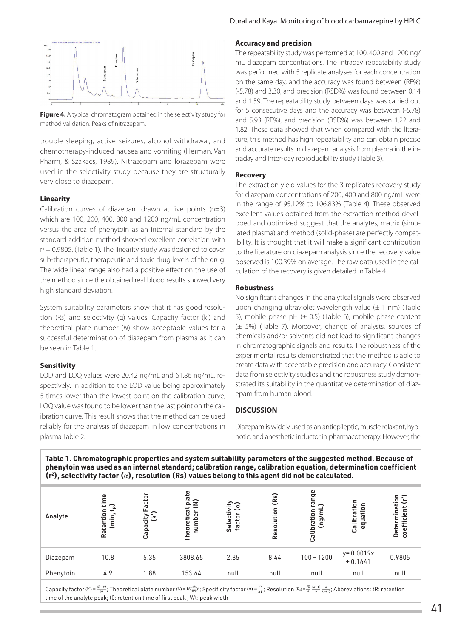

**Figure 4.** A typical chromatogram obtained in the selectivity study for method validation. Peaks of nitrazepam.

trouble sleeping, active seizures, alcohol withdrawal, and chemotherapy-induced nausea and vomiting (Herman, Van Pharm, & Szakacs, 1989). Nitrazepam and lorazepam were used in the selectivity study because they are structurally very close to diazepam.

#### **Linearity**

Calibration curves of diazepam drawn at five points  $(n=3)$ which are 100, 200, 400, 800 and 1200 ng/mL concentration versus the area of phenytoin as an internal standard by the standard addition method showed excellent correlation with  $r^2$  = 0.9805, (Table 1). The linearity study was designed to cover sub-therapeutic, therapeutic and toxic drug levels of the drug. The wide linear range also had a positive effect on the use of the method since the obtained real blood results showed very high standard deviation.

System suitability parameters show that it has good resolution (Rs) and selectivity (α) values. Capacity factor (k') and theoretical plate number (*N*) show acceptable values for a successful determination of diazepam from plasma as it can be seen in Table 1.

## **Sensitivity**

LOD and LOQ values were 20.42 ng/mL and 61.86 ng/mL, respectively. In addition to the LOD value being approximately 5 times lower than the lowest point on the calibration curve, LOQ value was found to be lower than the last point on the calibration curve. This result shows that the method can be used reliably for the analysis of diazepam in low concentrations in plasma Table 2.

#### **Accuracy and precision**

The repeatability study was performed at 100, 400 and 1200 ng/ mL diazepam concentrations. The intraday repeatability study was performed with 5 replicate analyses for each concentration on the same day, and the accuracy was found between (RE%) (-5.78) and 3.30, and precision (RSD%) was found between 0.14 and 1.59. The repeatability study between days was carried out for 5 consecutive days and the accuracy was between (-5.78) and 5.93 (RE%), and precision (RSD%) was between 1.22 and 1.82. These data showed that when compared with the literature, this method has high repeatability and can obtain precise and accurate results in diazepam analysis from plasma in the intraday and inter-day reproducibility study (Table 3).

## **Recovery**

The extraction yield values for the 3-replicates recovery study for diazepam concentrations of 200, 400 and 800 ng/mL were in the range of 95.12% to 106.83% (Table 4). These observed excellent values obtained from the extraction method developed and optimized suggest that the analytes, matrix (simulated plasma) and method (solid-phase) are perfectly compatibility. It is thought that it will make a significant contribution to the literature on diazepam analysis since the recovery value observed is 100.39% on average. The raw data used in the calculation of the recovery is given detailed in Table 4.

## **Robustness**

No significant changes in the analytical signals were observed upon changing ultraviolet wavelength value (± 1 nm) (Table 5), mobile phase pH  $(\pm 0.5)$  (Table 6), mobile phase content (± 5%) (Table 7). Moreover, change of analysts, sources of chemicals and/or solvents did not lead to significant changes in chromatographic signals and results. The robustness of the experimental results demonstrated that the method is able to create data with acceptable precision and accuracy. Consistent data from selectivity studies and the robustness study demonstrated its suitability in the quantitative determination of diazepam from human blood.

## **DISCUSSION**

Diazepam is widely used as an antiepileptic, muscle relaxant, hypnotic, and anesthetic inductor in pharmacotherapy. However, the

**Table 1. Chromatographic properties and system suitability parameters of the suggested method. Because of phenytoin was used as an internal standard; calibration range, calibration equation, determination coefficient (r2 ), selectivity factor (**α**), resolution (Rs) values belong to this agent did not be calculated.** 

| Analyte   | ω<br>ίm<br>ت<br>Retention<br>nin) | ē<br>ូត<br>Capaci | plate<br>N)<br>Theoretical<br>number | Selecti<br>factor | (Rs)<br>tion<br>Resolu | ange<br>libration<br>len)<br>යි | Calibration<br>equation    | o<br>م<br>Deter<br>ه<br>ō<br>ō |  |
|-----------|-----------------------------------|-------------------|--------------------------------------|-------------------|------------------------|---------------------------------|----------------------------|--------------------------------|--|
| Diazepam  | 10.8                              | 5.35              | 3808.65                              | 2.85              | 8.44                   | $100 - 1200$                    | $y = 0.0019x$<br>$+0.1641$ | 0.9805                         |  |
| Phenytoin | 4.9                               | 1.88              | 153.64                               | null              | null                   | null                            | null                       | null                           |  |
|           |                                   |                   |                                      |                   |                        |                                 |                            |                                |  |

Capacity factor (k') =  $\frac{tR-to}{r_0}$ ; Theoretical plate number (N) =  $16\frac{tR}{Wt}$ ; Specificity factor (a) =  $\frac{kZ}{R1}$ ; Resolution (R<sub>i</sub>) =  $\frac{\sqrt{R}}{4}$   $\frac{a}{m}$   $\frac{(a+1)(b+1)}{(a+1)(b+1)}$ ; Abbreviations: tR: retention time of the analyte peak; t0: retention time of first peak ; Wt: peak width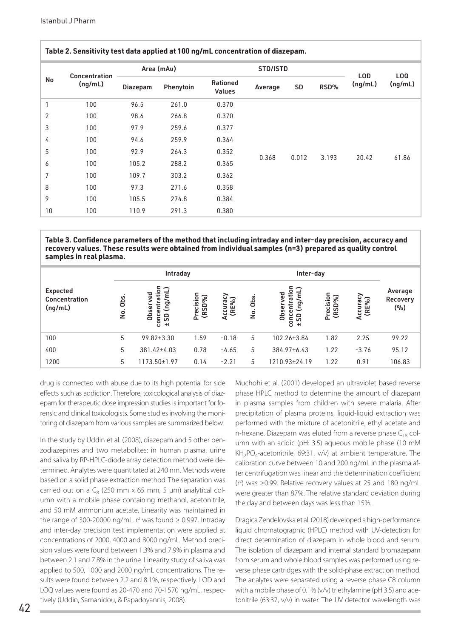| Table 2. Sensitivity test data applied at 100 ng/mL concentration of diazepam. |                      |            |           |                                  |          |       |       |                       |                |
|--------------------------------------------------------------------------------|----------------------|------------|-----------|----------------------------------|----------|-------|-------|-----------------------|----------------|
|                                                                                | <b>Concentration</b> | Area (mAu) |           |                                  | STD/ISTD |       |       |                       |                |
| No                                                                             | (nq/mL)              | Diazepam   | Phenytoin | <b>Rationed</b><br><b>Values</b> | Average  | SD    | RSD%  | <b>LOD</b><br>(nq/mL) | LOQ<br>(ng/mL) |
| 1                                                                              | 100                  | 96.5       | 261.0     | 0.370                            |          |       |       |                       |                |
| 2                                                                              | 100                  | 98.6       | 266.8     | 0.370                            |          | 0.012 |       | 20.42                 | 61.86          |
| 3                                                                              | 100                  | 97.9       | 259.6     | 0.377                            |          |       |       |                       |                |
| 4                                                                              | 100                  | 94.6       | 259.9     | 0.364                            |          |       |       |                       |                |
| 5                                                                              | 100                  | 92.9       | 264.3     | 0.352                            | 0.368    |       | 3.193 |                       |                |
| 6                                                                              | 100                  | 105.2      | 288.2     | 0.365                            |          |       |       |                       |                |
| 7                                                                              | 100                  | 109.7      | 303.2     | 0.362                            |          |       |       |                       |                |
| 8                                                                              | 100                  | 97.3       | 271.6     | 0.358                            |          |       |       |                       |                |
| 9                                                                              | 100                  | 105.5      | 274.8     | 0.384                            |          |       |       |                       |                |
| 10                                                                             | 100                  | 110.9      | 291.3     | 0.380                            |          |       |       |                       |                |

## **Table 2. Sensitivity test data applied at 100 ng/mL concentration of diazepam.**

**Table 3. Confidence parameters of the method that including intraday and inter-day precision, accuracy and recovery values. These results were obtained from individual samples (n=3) prepared as quality control samples in real plasma.**

|                                             | Intraday       |                                                                                                         |                                   |                                 | Inter-day     |                                                                                     |                                   |                                 |                              |
|---------------------------------------------|----------------|---------------------------------------------------------------------------------------------------------|-----------------------------------|---------------------------------|---------------|-------------------------------------------------------------------------------------|-----------------------------------|---------------------------------|------------------------------|
| <b>Expected</b><br>Concentration<br>(ng/mL) | Obs.<br>.<br>2 | c<br>$\overline{\phantom{0}}$<br>$\circ$<br>Ē<br>yed<br>πä<br>(ng/<br>entr<br>Obser<br>SD<br>conc<br>÷۱ | Precision<br>(RSD <sub>96</sub> ) | Accuracy<br>(RE <sup>9</sup> 6) | Obs<br>ف<br>N | Ξ.<br>$\sim$<br>$\circ$<br>Ē<br>ᄝ<br>휶<br>(ng/<br>entr<br>Obser<br>conc<br>SD<br>÷I | Precision<br>(RSD <sub>96</sub> ) | Accuracy<br>(RE <sup>9</sup> 6) | Average<br>Recovery<br>(°/0) |
| 100                                         | 5              | 99.82±3.30                                                                                              | 1.59                              | $-0.18$                         | 5             | 102.26±3.84                                                                         | 1.82                              | 2.25                            | 99.22                        |
| 400                                         | 5              | 381.42±4.03                                                                                             | 0.78                              | $-4.65$                         | 5             | 384.97±6.43                                                                         | 1.22                              | $-3.76$                         | 95.12                        |
| 1200                                        | 5              | 1173.50±1.97                                                                                            | 0.14                              | $-2.21$                         | 5             | 1210.93±24.19                                                                       | 1.22                              | 0.91                            | 106.83                       |

drug is connected with abuse due to its high potential for side effects such as addiction. Therefore, toxicological analysis of diazepam for therapeutic dose impression studies is important for forensic and clinical toxicologists. Some studies involving the monitoring of diazepam from various samples are summarized below.

In the study by Uddin et al. (2008), diazepam and 5 other benzodiazepines and two metabolites: in human plasma, urine and saliva by RP-HPLC-diode array detection method were determined. Analytes were quantitated at 240 nm. Methods were based on a solid phase extraction method. The separation was carried out on a  $C_8$  (250 mm x 65 mm, 5 µm) analytical column with a mobile phase containing methanol, acetonitrile, and 50 mM ammonium acetate. Linearity was maintained in the range of 300-20000 ng/mL.  $r^2$  was found  $\geq$  0.997. Intraday and inter-day precision test implementation were applied at concentrations of 2000, 4000 and 8000 ng/mL. Method precision values were found between 1.3% and 7.9% in plasma and between 2.1 and 7.8% in the urine. Linearity study of saliva was applied to 500, 1000 and 2000 ng/mL concentrations. The results were found between 2.2 and 8.1%, respectively. LOD and LOQ values were found as 20-470 and 70-1570 ng/mL, respectively (Uddin, Samanidou, & Papadoyannis, 2008).

Muchohi et al. (2001) developed an ultraviolet based reverse phase HPLC method to determine the amount of diazepam in plasma samples from children with severe malaria. After precipitation of plasma proteins, liquid-liquid extraction was performed with the mixture of acetonitrile, ethyl acetate and n-hexane. Diazepam was eluted from a reverse phase  $C_{18}$  column with an acidic (pH: 3.5) aqueous mobile phase (10 mM  $KH<sub>2</sub>PO<sub>4</sub>$ -acetonitrile, 69:31, v/v) at ambient temperature. The calibration curve between 10 and 200 ng/mL in the plasma after centrifugation was linear and the determination coefficient  $(r^2)$  was  $\geq$ 0.99. Relative recovery values at 25 and 180 ng/mL were greater than 87%. The relative standard deviation during the day and between days was less than 15%.

Dragica Zendelovska et al. (2018) developed a high-performance liquid chromatographic (HPLC) method with UV-detection for direct determination of diazepam in whole blood and serum. The isolation of diazepam and internal standard bromazepam from serum and whole blood samples was performed using reverse phase cartridges with the solid-phase extraction method. The analytes were separated using a reverse phase C8 column with a mobile phase of 0.1% (v/v) triethylamine (pH 3.5) and acetonitrile (63:37, v/v) in water. The UV detector wavelength was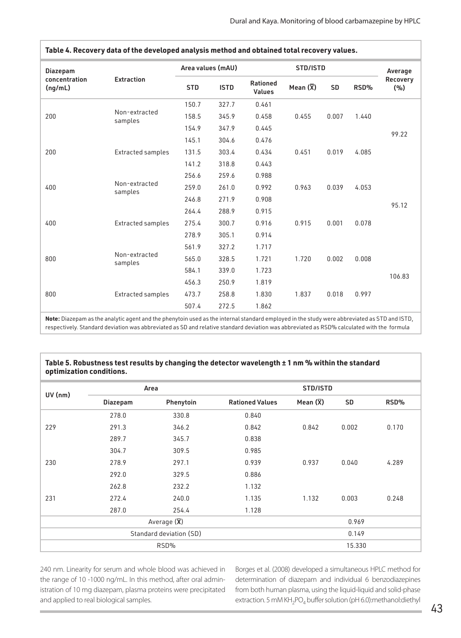| <b>Diazepam</b>          |                          | Area values (mAU) |             |                                  | STD/ISTD              |           |       |                   |
|--------------------------|--------------------------|-------------------|-------------|----------------------------------|-----------------------|-----------|-------|-------------------|
| concentration<br>(ng/mL) | <b>Extraction</b>        | <b>STD</b>        | <b>ISTD</b> | <b>Rationed</b><br><b>Values</b> | Mean $(\overline{X})$ | <b>SD</b> | RSD%  | Recovery<br>(°/0) |
|                          |                          | 150.7             | 327.7       | 0.461                            |                       |           |       |                   |
| 200                      | Non-extracted<br>samples | 158.5             | 345.9       | 0.458                            | 0.455                 | 0.007     | 1.440 |                   |
|                          |                          | 154.9             | 347.9       | 0.445                            |                       |           |       | 99.22             |
|                          |                          | 145.1             | 304.6       | 0.476                            |                       |           |       |                   |
| 200                      | <b>Extracted samples</b> | 131.5             | 303.4       | 0.434                            | 0.451                 | 0.019     | 4.085 |                   |
|                          |                          | 141.2             | 318.8       | 0.443                            |                       |           |       |                   |
| 400                      |                          | 256.6             | 259.6       | 0.988                            |                       |           |       |                   |
|                          | Non-extracted<br>samples | 259.0             | 261.0       | 0.992                            | 0.963                 | 0.039     | 4.053 |                   |
|                          |                          | 246.8             | 271.9       | 0.908                            |                       |           |       | 95.12             |
|                          |                          | 264.4             | 288.9       | 0.915                            |                       |           |       |                   |
| 400                      | <b>Extracted samples</b> | 275.4             | 300.7       | 0.916                            | 0.915                 | 0.001     | 0.078 |                   |
|                          |                          | 278.9             | 305.1       | 0.914                            |                       |           |       |                   |
|                          |                          | 561.9             | 327.2       | 1.717                            |                       |           |       |                   |
| 800                      | Non-extracted<br>samples | 565.0             | 328.5       | 1.721                            | 1.720                 | 0.002     | 0.008 |                   |
|                          |                          | 584.1             | 339.0       | 1.723                            |                       |           |       |                   |
|                          |                          | 456.3             | 250.9       | 1.819                            |                       |           |       | 106.83            |
| 800                      | <b>Extracted samples</b> | 473.7             | 258.8       | 1.830                            | 1.837                 | 0.018     | 0.997 |                   |
|                          |                          | 507.4             | 272.5       | 1.862                            |                       |           |       |                   |

**Table 4. Recovery data of the developed analysis method and obtained total recovery values.**

**Note:** Diazepam as the analytic agent and the phenytoin used as the internal standard employed in the study were abbreviated as STD and ISTD, respectively. Standard deviation was abbreviated as SD and relative standard deviation was abbreviated as RSD% calculated with the formula

#### **Table 5. Robustness test results by changing the detector wavelength ± 1 nm % within the standard optimization conditions.**

|                          |          | Area      | STD/ISTD               |                       |       |       |  |  |  |
|--------------------------|----------|-----------|------------------------|-----------------------|-------|-------|--|--|--|
| $UV$ (nm)                |          |           |                        |                       |       |       |  |  |  |
|                          | Diazepam | Phenytoin | <b>Rationed Values</b> | Mean $(\overline{X})$ | SD    | RSD%  |  |  |  |
|                          | 278.0    | 330.8     | 0.840                  |                       |       |       |  |  |  |
| 229                      | 291.3    | 346.2     | 0.842                  | 0.842                 | 0.002 | 0.170 |  |  |  |
|                          | 289.7    | 345.7     | 0.838                  |                       |       |       |  |  |  |
|                          | 304.7    | 309.5     | 0.985                  |                       |       |       |  |  |  |
| 230                      | 278.9    | 297.1     | 0.939                  | 0.937                 | 0.040 | 4.289 |  |  |  |
|                          | 292.0    | 329.5     | 0.886                  |                       |       |       |  |  |  |
|                          | 262.8    | 232.2     | 1.132                  |                       |       |       |  |  |  |
| 231                      | 272.4    | 240.0     | 1.135                  | 1.132                 | 0.003 | 0.248 |  |  |  |
|                          | 287.0    | 254.4     | 1.128                  |                       |       |       |  |  |  |
| Average $(\overline{X})$ |          |           |                        | 0.969                 |       |       |  |  |  |
| Standard deviation (SD)  |          |           |                        | 0.149                 |       |       |  |  |  |
| RSD%                     |          |           |                        | 15.330                |       |       |  |  |  |

240 nm. Linearity for serum and whole blood was achieved in the range of 10 -1000 ng/mL. In this method, after oral administration of 10 mg diazepam, plasma proteins were precipitated and applied to real biological samples.

Borges et al. (2008) developed a simultaneous HPLC method for determination of diazepam and individual 6 benzodiazepines from both human plasma, using the liquid-liquid and solid-phase extraction. 5 mM  $KH_2PO_4$  buffer solution (pH 6.0):methanol:diethyl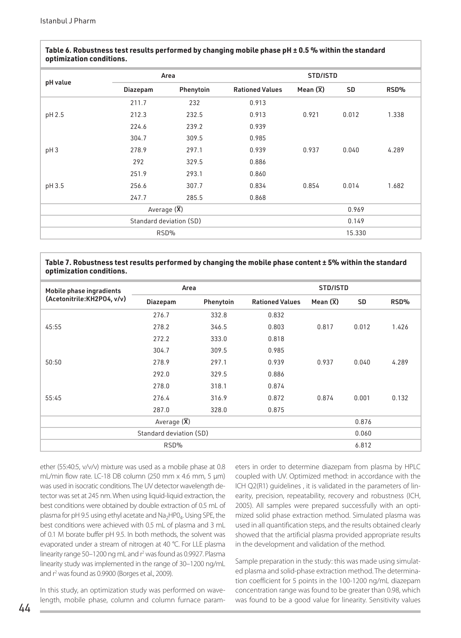|                 | opennización conditional |           |                        |                       |       |       |  |  |  |  |
|-----------------|--------------------------|-----------|------------------------|-----------------------|-------|-------|--|--|--|--|
|                 |                          | Area      | STD/ISTD               |                       |       |       |  |  |  |  |
| pH value        | Diazepam                 | Phenytoin | <b>Rationed Values</b> | Mean $(\overline{X})$ | SD    | RSD%  |  |  |  |  |
|                 | 211.7                    | 232       | 0.913                  |                       |       |       |  |  |  |  |
| pH 2.5          | 212.3                    | 232.5     | 0.913                  | 0.921                 | 0.012 | 1.338 |  |  |  |  |
|                 | 224.6                    | 239.2     | 0.939                  |                       |       |       |  |  |  |  |
|                 | 304.7                    | 309.5     | 0.985                  |                       |       |       |  |  |  |  |
| pH <sub>3</sub> | 278.9                    | 297.1     | 0.939                  | 0.937                 | 0.040 | 4.289 |  |  |  |  |
|                 | 292                      | 329.5     | 0.886                  |                       |       |       |  |  |  |  |
|                 | 251.9                    | 293.1     | 0.860                  |                       |       |       |  |  |  |  |
| pH 3.5          | 256.6                    | 307.7     | 0.834                  | 0.854                 | 0.014 | 1.682 |  |  |  |  |
|                 | 247.7                    | 285.5     | 0.868                  |                       |       |       |  |  |  |  |
|                 | Average $(\overline{X})$ |           | 0.969                  |                       |       |       |  |  |  |  |
|                 | Standard deviation (SD)  | 0.149     |                        |                       |       |       |  |  |  |  |
|                 |                          | RSD%      |                        | 15.330                |       |       |  |  |  |  |

#### **Table 6. Robustness test results performed by changing mobile phase pH ± 0.5 % within the standard optimization conditions.**

## **Table 7. Robustness test results performed by changing the mobile phase content ± 5% within the standard optimization conditions.**

| Mobile phase ingradients   | Area     |           | STD/ISTD               |                       |           |       |  |
|----------------------------|----------|-----------|------------------------|-----------------------|-----------|-------|--|
| (Acetonitrile:KH2PO4, v/v) | Diazepam | Phenytoin | <b>Rationed Values</b> | Mean $(\overline{X})$ | <b>SD</b> | RSD%  |  |
|                            | 276.7    | 332.8     | 0.832                  |                       |           |       |  |
| 45:55                      | 278.2    | 346.5     | 0.803                  | 0.817                 | 0.012     | 1.426 |  |
|                            | 272.2    | 333.0     | 0.818                  |                       |           |       |  |
|                            | 304.7    | 309.5     | 0.985                  |                       |           |       |  |
| 50:50                      | 278.9    | 297.1     | 0.939                  | 0.937                 | 0.040     | 4.289 |  |
|                            | 292.0    | 329.5     | 0.886                  |                       |           |       |  |
|                            | 278.0    | 318.1     | 0.874                  |                       |           |       |  |
| 55:45                      | 276.4    | 316.9     | 0.872                  | 0.874                 | 0.001     | 0.132 |  |
|                            | 287.0    | 328.0     | 0.875                  |                       |           |       |  |
|                            |          |           | 0.876                  |                       |           |       |  |
|                            |          |           | 0.060                  |                       |           |       |  |
|                            |          |           | 6.812                  |                       |           |       |  |

ether (55:40:5, v/v/v) mixture was used as a mobile phase at 0.8 mL/min flow rate. LC-18 DB column (250 mm x 4.6 mm, 5 µm) was used in isocratic conditions. The UV detector wavelength detector was set at 245 nm. When using liquid-liquid extraction, the best conditions were obtained by double extraction of 0.5 mL of plasma for pH 9.5 using ethyl acetate and Na<sub>2</sub>HP0<sub>4</sub>. Using SPE, the best conditions were achieved with 0.5 mL of plasma and 3 mL of 0.1 M borate buffer pH 9.5. In both methods, the solvent was evaporated under a stream of nitrogen at 40 °C. For LLE plasma linearity range 50-1200 ng mL and r<sup>2</sup> was found as 0.9927. Plasma linearity study was implemented in the range of 30–1200 ng/mL and r<sup>2</sup> was found as 0.9900 (Borges et al., 2009).

In this study, an optimization study was performed on wavelength, mobile phase, column and column furnace parameters in order to determine diazepam from plasma by HPLC coupled with UV. Optimized method: in accordance with the ICH Q2(R1) guidelines , it is validated in the parameters of linearity, precision, repeatability, recovery and robustness (ICH, 2005). All samples were prepared successfully with an optimized solid phase extraction method. Simulated plasma was used in all quantification steps, and the results obtained clearly showed that the artificial plasma provided appropriate results in the development and validation of the method.

Sample preparation in the study: this was made using simulated plasma and solid-phase extraction method. The determination coefficient for 5 points in the 100-1200 ng/mL diazepam concentration range was found to be greater than 0.98, which was found to be a good value for linearity. Sensitivity values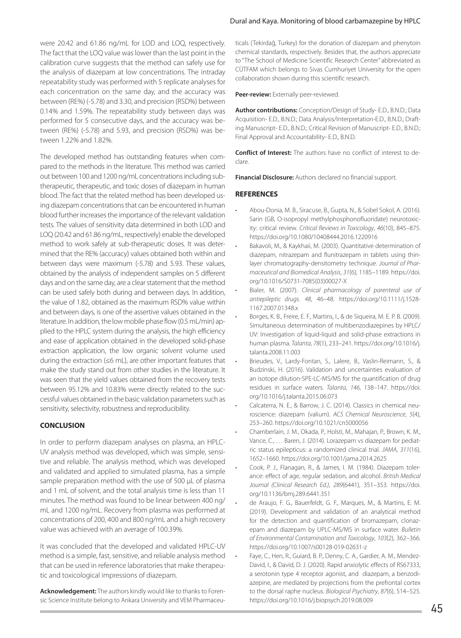were 20.42 and 61.86 ng/mL for LOD and LOQ, respectively. The fact that the LOQ value was lower than the last point in the calibration curve suggests that the method can safely use for the analysis of diazepam at low concentrations. The intraday repeatability study was performed with 5 replicate analyses for each concentration on the same day, and the accuracy was between (RE%) (-5.78) and 3.30, and precision (RSD%) between 0.14% and 1.59%. The repeatability study between days was performed for 5 consecutive days, and the accuracy was between (RE%) (-5.78) and 5.93, and precision (RSD%) was between 1.22% and 1.82%.

The developed method has outstanding features when compared to the methods in the literature. This method was carried out between 100 and 1200 ng/mL concentrations including subtherapeutic, therapeutic, and toxic doses of diazepam in human blood. The fact that the related method has been developed using diazepam concentrations that can be encountered in human blood further increases the importance of the relevant validation tests. The values of sensitivity data determined in both LOD and LOQ (20.42 and 61.86 ng/mL, respectively) enable the developed method to work safely at sub-therapeutic doses. It was determined that the RE% (accuracy) values obtained both within and between days were maximum (-5.78) and 5.93. These values, obtained by the analysis of independent samples on 5 different days and on the same day, are a clear statement that the method can be used safely both during and between days. In addition, the value of 1.82, obtained as the maximum RSD% value within and between days, is one of the assertive values obtained in the literature. In addition, the low mobile phase flow (0.5 mL/min) applied to the HPLC system during the analysis, the high efficiency and ease of application obtained in the developed solid-phase extraction application, the low organic solvent volume used during the extraction (≤6 mL), are other important features that make the study stand out from other studies in the literature. It was seen that the yield values obtained from the recovery tests between 95.12% and 10.83% werre directly related to the successful values obtained in the basic validation parameters such as sensitivity, selectivity, robustness and reproducibility.

#### **CONCLUSION**

In order to perform diazepam analyses on plasma, an HPLC-UV analysis method was developed, which was simple, sensitive and reliable. The analysis method, which was developed and validated and applied to simulated plasma, has a simple sample preparation method with the use of 500 µL of plasma and 1 mL of solvent, and the total analysis time is less than 11 minutes. The method was found to be linear between 400 ng/ mL and 1200 ng/mL. Recovery from plasma was performed at concentrations of 200, 400 and 800 ng/mL and a high recovery value was achieved with an average of 100.39%.

It was concluded that the developed and validated HPLC-UV method is a simple, fast, sensitive, and reliable analysis method that can be used in reference laboratories that make therapeutic and toxicological impressions of diazepam.

**Acknowledgement:** The authors kindly would like to thanks to Forensic Science Institute belong to Ankara University and VEM Pharmaceu-

#### Dural and Kaya. Monitoring of blood carbamazepine by HPLC

ticals (Tekirdağ, Turkey) for the donation of diazepam and phenytoin chemical standards, respectively. Besides that, the authors appreciate to "The School of Medicine Scientific Research Center" abbreviated as CÜTFAM which belongs to Sivas Cumhuriyet University for the open collaboration shown during this scientific research.

Peer-review: Externally peer-reviewed.

**Author contributions:** Conception/Design of Study- E.D., B.N.D.; Data Acquisition- E.D., B.N.D.; Data Analysis/Interpretation-E.D., B.N.D.; Drafting Manuscript- E.D., B.N.D.; Critical Revision of Manuscript- E.D., B.N.D.; Final Approval and Accountability- E.D., B.N.D.

**Conflict of Interest:** The authors have no conflict of interest to declare.

**Financial Disclosure:** Authors declared no financial support.

#### **REFERENCES**

- Abou-Donia, M. B., Siracuse, B., Gupta, N., & Sobel Sokol, A. (2016). Sarin (GB, O-isopropyl methylphosphonofluoridate) neurotoxicity: critical review. *Critical Reviews in Toxicology*, *46*(10), 845–875. https://doi.org/10.1080/10408444.2016.1220916
- Bakavoli, M., & Kaykhaii, M. (2003). Quantitative determination of diazepam, nitrazepam and flunitrazepam in tablets using thinlayer chromatography-densitometry technique. *Journal of Pharmaceutical and Biomedical Analysis*, *31*(6), 1185–1189. https://doi. org/10.1016/S0731-7085(03)00027-X
- Bialer, M. (2007). *Clinical pharmacology of parenteral use of antiepileptic drugs*. *48*, 46–48. https://doi.org/10.1111/j.1528- 1167.2007.01348.x
- Borges, K. B., Freire, E. F., Martins, I., & de Siqueira, M. E. P. B. (2009). Simultaneous determination of multibenzodiazepines by HPLC/ UV: Investigation of liquid-liquid and solid-phase extractions in human plasma. *Talanta*, *78*(1), 233–241. https://doi.org/10.1016/j. talanta.2008.11.003
- Brieudes, V., Lardy-Fontan, S., Lalere, B., Vaslin-Reimann, S., & Budzinski, H. (2016). Validation and uncertainties evaluation of an isotope dilution-SPE-LC-MS/MS for the quantification of drug residues in surface waters. *Talanta*, *146*, 138–147. https://doi. org/10.1016/j.talanta.2015.06.073
- Calcaterra, N. E., & Barrow, J. C. (2014). Classics in chemical neuroscience: diazepam (valium). *ACS Chemical Neuroscience*, *5*(4), 253–260. https://doi.org/10.1021/cn5000056
- Chamberlain, J. M., Okada, P., Holsti, M., Mahajan, P., Brown, K. M., Vance, C., … Baren, J. (2014). Lorazepam vs diazepam for pediatric status epilepticus: a randomized clinical trial. *JAMA*, *311*(16), 1652–1660. https://doi.org/10.1001/jama.2014.2625
- Cook, P. J., Flanagan, R., & James, I. M. (1984). Diazepam tolerance: effect of age, regular sedation, and alcohol. *British Medical Journal (Clinical Research Ed.)*, *289*(6441), 351–353. https://doi. org/10.1136/bmj.289.6441.351
- de Araujo, F. G., Bauerfeldt, G. F., Marques, M., & Martins, E. M. (2019). Development and validation of an analytical method for the detection and quantification of bromazepam, clonazepam and diazepam by UPLC-MS/MS in surface water. *Bulletin of Environmental Contamination and Toxicology*, *103*(2), 362–366. https://doi.org/10.1007/s00128-019-02631-z
- Faye, C., Hen, R., Guiard, B. P., Denny, C. A., Gardier, A. M., Mendez-David, I., & David, D. J. (2020). Rapid anxiolytic effects of RS67333, a serotonin type 4 receptor agonist, and diazepam, a benzodiazepine, are mediated by projections from the prefrontal cortex to the dorsal raphe nucleus. *Biological Psychiatry*, *87*(6), 514–525. https://doi.org/10.1016/j.biopsych.2019.08.009